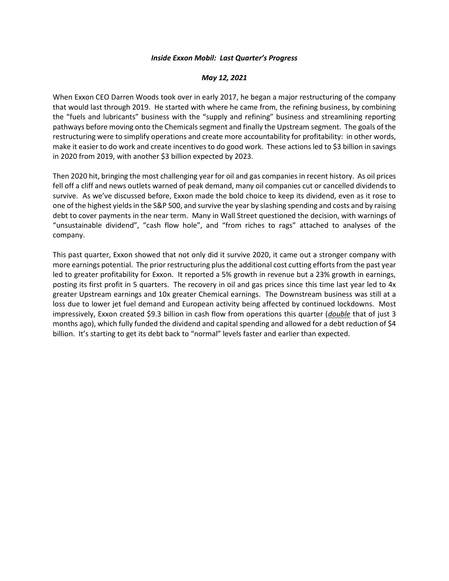## *Inside Exxon Mobil: Last Quarter's Progress*

## *May 12, 2021*

When Exxon CEO Darren Woods took over in early 2017, he began a major restructuring of the company that would last through 2019. He started with where he came from, the refining business, by combining the "fuels and lubricants" business with the "supply and refining" business and streamlining reporting pathways before moving onto the Chemicals segment and finally the Upstream segment. The goals of the restructuring were to simplify operations and create more accountability for profitability: in other words, make it easier to do work and create incentives to do good work. These actions led to \$3 billion in savings in 2020 from 2019, with another \$3 billion expected by 2023.

Then 2020 hit, bringing the most challenging year for oil and gas companies in recent history. As oil prices fell off a cliff and news outlets warned of peak demand, many oil companies cut or cancelled dividends to survive. As we've discussed before, Exxon made the bold choice to keep its dividend, even as it rose to one of the highest yields in the S&P 500, and survive the year by slashing spending and costs and by raising debt to cover payments in the near term. Many in Wall Street questioned the decision, with warnings of "unsustainable dividend", "cash flow hole", and "from riches to rags" attached to analyses of the company.

This past quarter, Exxon showed that not only did it survive 2020, it came out a stronger company with more earnings potential. The prior restructuring plus the additional cost cutting efforts from the past year led to greater profitability for Exxon. It reported a 5% growth in revenue but a 23% growth in earnings, posting its first profit in 5 quarters. The recovery in oil and gas prices since this time last year led to 4x greater Upstream earnings and 10x greater Chemical earnings. The Downstream business was still at a loss due to lower jet fuel demand and European activity being affected by continued lockdowns. Most impressively, Exxon created \$9.3 billion in cash flow from operations this quarter (*double* that of just 3 months ago), which fully funded the dividend and capital spending and allowed for a debt reduction of \$4 billion. It's starting to get its debt back to "normal" levels faster and earlier than expected.